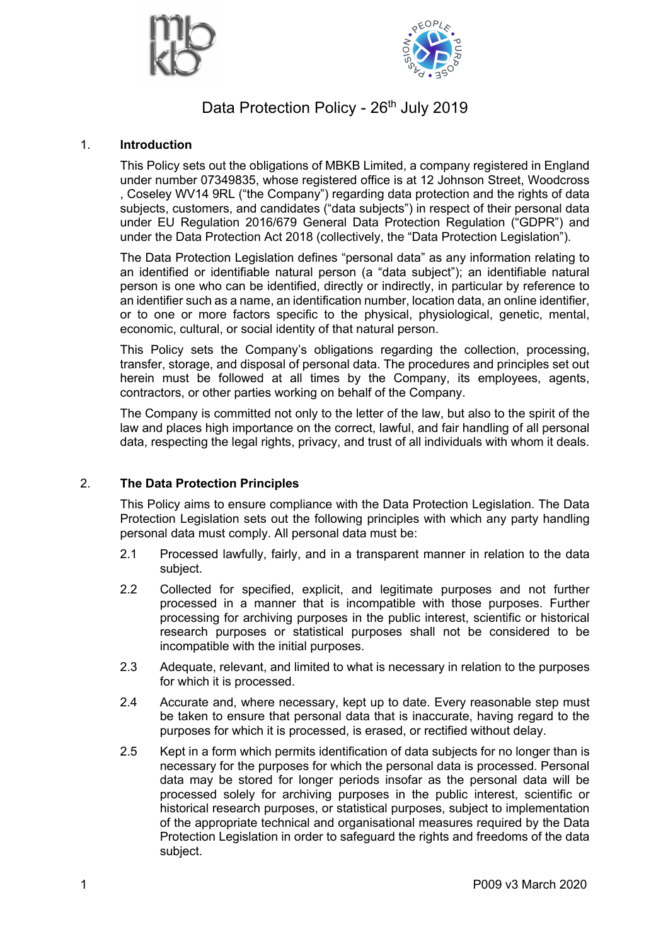



# Data Protection Policy - 26<sup>th</sup> July 2019

## 1. **Introduction**

This Policy sets out the obligations of MBKB Limited, a company registered in England under number 07349835, whose registered office is at 12 Johnson Street, Woodcross , Coseley WV14 9RL ("the Company") regarding data protection and the rights of data subjects, customers, and candidates ("data subjects") in respect of their personal data under EU Regulation 2016/679 General Data Protection Regulation ("GDPR") and under the Data Protection Act 2018 (collectively, the "Data Protection Legislation").

The Data Protection Legislation defines "personal data" as any information relating to an identified or identifiable natural person (a "data subject"); an identifiable natural person is one who can be identified, directly or indirectly, in particular by reference to an identifier such as a name, an identification number, location data, an online identifier, or to one or more factors specific to the physical, physiological, genetic, mental, economic, cultural, or social identity of that natural person.

This Policy sets the Company's obligations regarding the collection, processing, transfer, storage, and disposal of personal data. The procedures and principles set out herein must be followed at all times by the Company, its employees, agents, contractors, or other parties working on behalf of the Company.

The Company is committed not only to the letter of the law, but also to the spirit of the law and places high importance on the correct, lawful, and fair handling of all personal data, respecting the legal rights, privacy, and trust of all individuals with whom it deals.

## 2. **The Data Protection Principles**

This Policy aims to ensure compliance with the Data Protection Legislation. The Data Protection Legislation sets out the following principles with which any party handling personal data must comply. All personal data must be:

- 2.1 Processed lawfully, fairly, and in a transparent manner in relation to the data subject.
- 2.2 Collected for specified, explicit, and legitimate purposes and not further processed in a manner that is incompatible with those purposes. Further processing for archiving purposes in the public interest, scientific or historical research purposes or statistical purposes shall not be considered to be incompatible with the initial purposes.
- 2.3 Adequate, relevant, and limited to what is necessary in relation to the purposes for which it is processed.
- 2.4 Accurate and, where necessary, kept up to date. Every reasonable step must be taken to ensure that personal data that is inaccurate, having regard to the purposes for which it is processed, is erased, or rectified without delay.
- 2.5 Kept in a form which permits identification of data subjects for no longer than is necessary for the purposes for which the personal data is processed. Personal data may be stored for longer periods insofar as the personal data will be processed solely for archiving purposes in the public interest, scientific or historical research purposes, or statistical purposes, subject to implementation of the appropriate technical and organisational measures required by the Data Protection Legislation in order to safeguard the rights and freedoms of the data subject.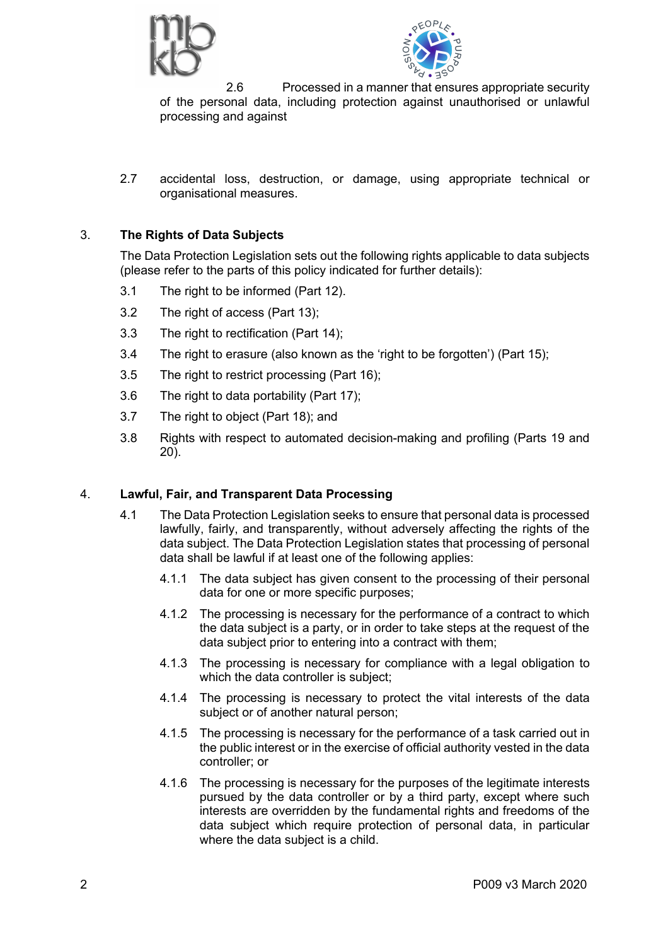



2.6 Processed in a manner that ensures appropriate security of the personal data, including protection against unauthorised or unlawful processing and against

2.7 accidental loss, destruction, or damage, using appropriate technical or organisational measures.

## 3. **The Rights of Data Subjects**

The Data Protection Legislation sets out the following rights applicable to data subjects (please refer to the parts of this policy indicated for further details):

- 3.1 The right to be informed (Part 12).
- 3.2 The right of access (Part 13);
- 3.3 The right to rectification (Part 14);
- 3.4 The right to erasure (also known as the 'right to be forgotten') (Part 15);
- 3.5 The right to restrict processing (Part 16);
- 3.6 The right to data portability (Part 17);
- 3.7 The right to object (Part 18); and
- 3.8 Rights with respect to automated decision-making and profiling (Parts 19 and 20).

#### 4. **Lawful, Fair, and Transparent Data Processing**

- 4.1 The Data Protection Legislation seeks to ensure that personal data is processed lawfully, fairly, and transparently, without adversely affecting the rights of the data subject. The Data Protection Legislation states that processing of personal data shall be lawful if at least one of the following applies:
	- 4.1.1 The data subject has given consent to the processing of their personal data for one or more specific purposes;
	- 4.1.2 The processing is necessary for the performance of a contract to which the data subject is a party, or in order to take steps at the request of the data subject prior to entering into a contract with them;
	- 4.1.3 The processing is necessary for compliance with a legal obligation to which the data controller is subject:
	- 4.1.4 The processing is necessary to protect the vital interests of the data subject or of another natural person;
	- 4.1.5 The processing is necessary for the performance of a task carried out in the public interest or in the exercise of official authority vested in the data controller; or
	- 4.1.6 The processing is necessary for the purposes of the legitimate interests pursued by the data controller or by a third party, except where such interests are overridden by the fundamental rights and freedoms of the data subject which require protection of personal data, in particular where the data subject is a child.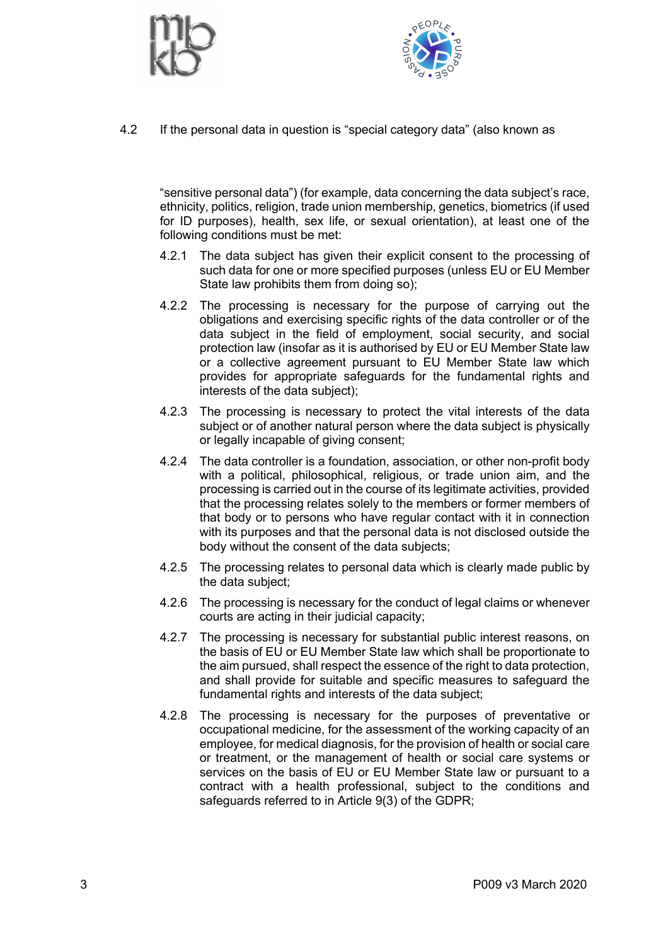



4.2 If the personal data in question is "special category data" (also known as

"sensitive personal data") (for example, data concerning the data subject's race, ethnicity, politics, religion, trade union membership, genetics, biometrics (if used for ID purposes), health, sex life, or sexual orientation), at least one of the following conditions must be met:

- 4.2.1 The data subject has given their explicit consent to the processing of such data for one or more specified purposes (unless EU or EU Member State law prohibits them from doing so);
- 4.2.2 The processing is necessary for the purpose of carrying out the obligations and exercising specific rights of the data controller or of the data subject in the field of employment, social security, and social protection law (insofar as it is authorised by EU or EU Member State law or a collective agreement pursuant to EU Member State law which provides for appropriate safeguards for the fundamental rights and interests of the data subject);
- 4.2.3 The processing is necessary to protect the vital interests of the data subject or of another natural person where the data subject is physically or legally incapable of giving consent;
- 4.2.4 The data controller is a foundation, association, or other non-profit body with a political, philosophical, religious, or trade union aim, and the processing is carried out in the course of its legitimate activities, provided that the processing relates solely to the members or former members of that body or to persons who have regular contact with it in connection with its purposes and that the personal data is not disclosed outside the body without the consent of the data subjects;
- 4.2.5 The processing relates to personal data which is clearly made public by the data subject;
- 4.2.6 The processing is necessary for the conduct of legal claims or whenever courts are acting in their judicial capacity;
- 4.2.7 The processing is necessary for substantial public interest reasons, on the basis of EU or EU Member State law which shall be proportionate to the aim pursued, shall respect the essence of the right to data protection, and shall provide for suitable and specific measures to safeguard the fundamental rights and interests of the data subject;
- 4.2.8 The processing is necessary for the purposes of preventative or occupational medicine, for the assessment of the working capacity of an employee, for medical diagnosis, for the provision of health or social care or treatment, or the management of health or social care systems or services on the basis of EU or EU Member State law or pursuant to a contract with a health professional, subject to the conditions and safeguards referred to in Article 9(3) of the GDPR;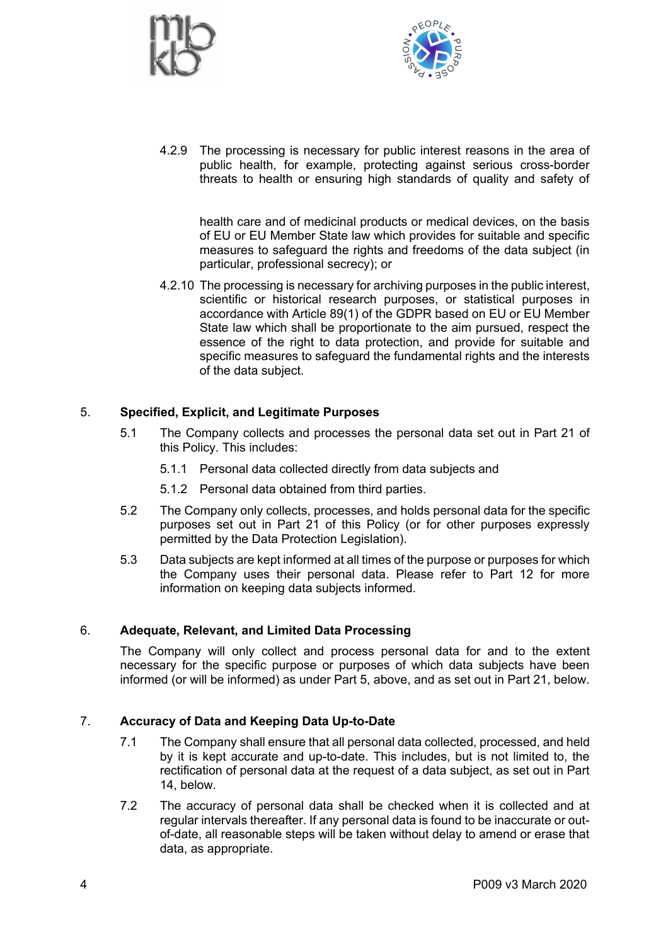



4.2.9 The processing is necessary for public interest reasons in the area of public health, for example, protecting against serious cross-border threats to health or ensuring high standards of quality and safety of

health care and of medicinal products or medical devices, on the basis of EU or EU Member State law which provides for suitable and specific measures to safeguard the rights and freedoms of the data subject (in particular, professional secrecy); or

4.2.10 The processing is necessary for archiving purposes in the public interest, scientific or historical research purposes, or statistical purposes in accordance with Article 89(1) of the GDPR based on EU or EU Member State law which shall be proportionate to the aim pursued, respect the essence of the right to data protection, and provide for suitable and specific measures to safeguard the fundamental rights and the interests of the data subject.

## 5. **Specified, Explicit, and Legitimate Purposes**

- 5.1 The Company collects and processes the personal data set out in Part 21 of this Policy. This includes:
	- 5.1.1 Personal data collected directly from data subjects and
	- 5.1.2 Personal data obtained from third parties.
- 5.2 The Company only collects, processes, and holds personal data for the specific purposes set out in Part 21 of this Policy (or for other purposes expressly permitted by the Data Protection Legislation).
- 5.3 Data subjects are kept informed at all times of the purpose or purposes for which the Company uses their personal data. Please refer to Part 12 for more information on keeping data subjects informed.

## 6. **Adequate, Relevant, and Limited Data Processing**

The Company will only collect and process personal data for and to the extent necessary for the specific purpose or purposes of which data subjects have been informed (or will be informed) as under Part 5, above, and as set out in Part 21, below.

## 7. **Accuracy of Data and Keeping Data Up-to-Date**

- 7.1 The Company shall ensure that all personal data collected, processed, and held by it is kept accurate and up-to-date. This includes, but is not limited to, the rectification of personal data at the request of a data subject, as set out in Part 14, below.
- 7.2 The accuracy of personal data shall be checked when it is collected and at regular intervals thereafter. If any personal data is found to be inaccurate or outof-date, all reasonable steps will be taken without delay to amend or erase that data, as appropriate.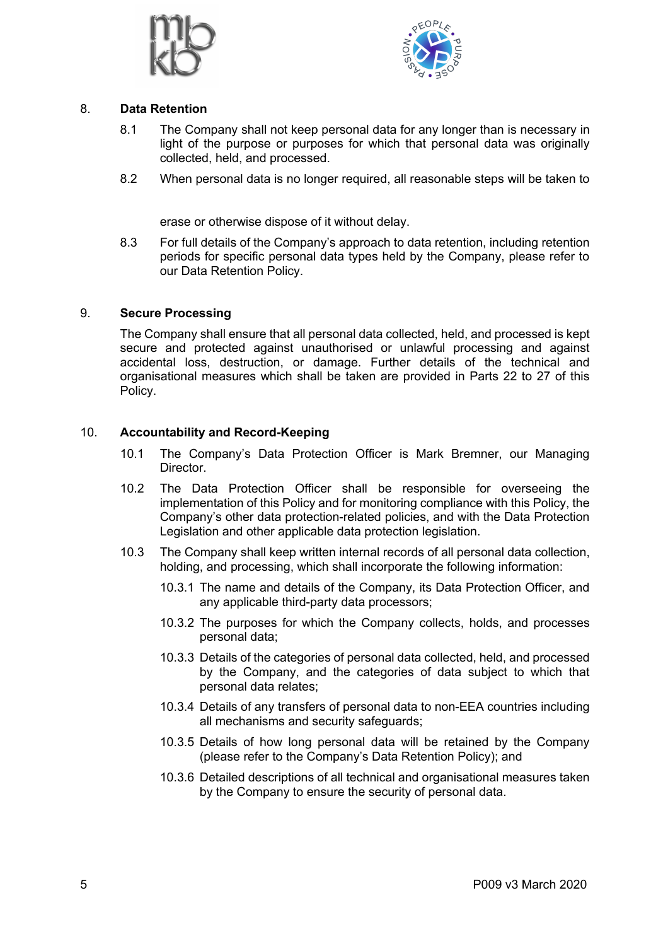



## 8. **Data Retention**

- 8.1 The Company shall not keep personal data for any longer than is necessary in light of the purpose or purposes for which that personal data was originally collected, held, and processed.
- 8.2 When personal data is no longer required, all reasonable steps will be taken to

erase or otherwise dispose of it without delay.

8.3 For full details of the Company's approach to data retention, including retention periods for specific personal data types held by the Company, please refer to our Data Retention Policy.

## 9. **Secure Processing**

The Company shall ensure that all personal data collected, held, and processed is kept secure and protected against unauthorised or unlawful processing and against accidental loss, destruction, or damage. Further details of the technical and organisational measures which shall be taken are provided in Parts 22 to 27 of this Policy.

## 10. **Accountability and Record-Keeping**

- 10.1 The Company's Data Protection Officer is Mark Bremner, our Managing Director.
- 10.2 The Data Protection Officer shall be responsible for overseeing the implementation of this Policy and for monitoring compliance with this Policy, the Company's other data protection-related policies, and with the Data Protection Legislation and other applicable data protection legislation.
- 10.3 The Company shall keep written internal records of all personal data collection, holding, and processing, which shall incorporate the following information:
	- 10.3.1 The name and details of the Company, its Data Protection Officer, and any applicable third-party data processors;
	- 10.3.2 The purposes for which the Company collects, holds, and processes personal data;
	- 10.3.3 Details of the categories of personal data collected, held, and processed by the Company, and the categories of data subject to which that personal data relates;
	- 10.3.4 Details of any transfers of personal data to non-EEA countries including all mechanisms and security safeguards;
	- 10.3.5 Details of how long personal data will be retained by the Company (please refer to the Company's Data Retention Policy); and
	- 10.3.6 Detailed descriptions of all technical and organisational measures taken by the Company to ensure the security of personal data.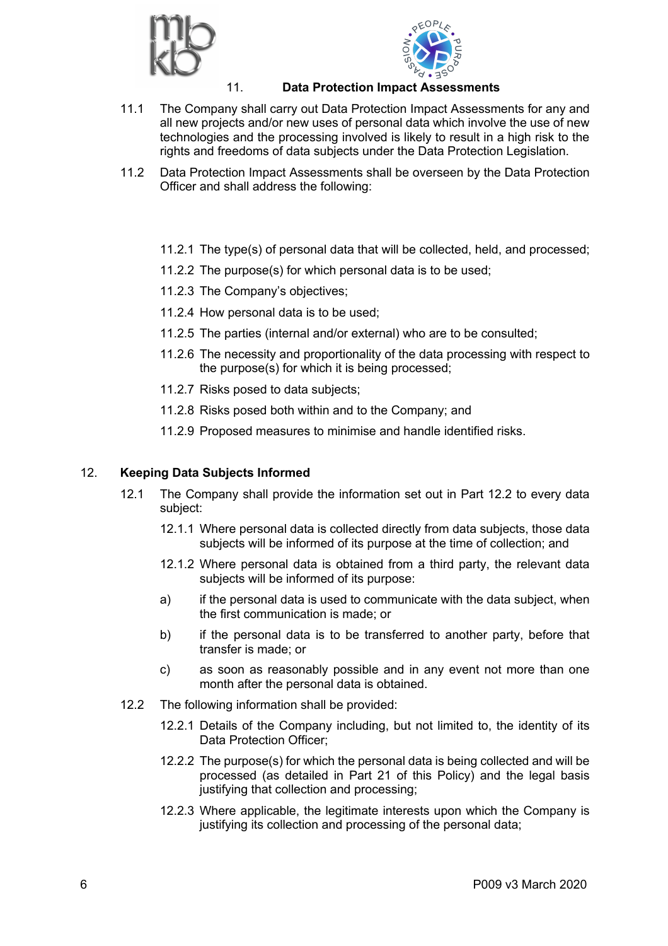



## 11. **Data Protection Impact Assessments**

- 11.1 The Company shall carry out Data Protection Impact Assessments for any and all new projects and/or new uses of personal data which involve the use of new technologies and the processing involved is likely to result in a high risk to the rights and freedoms of data subjects under the Data Protection Legislation.
- 11.2 Data Protection Impact Assessments shall be overseen by the Data Protection Officer and shall address the following:
	- 11.2.1 The type(s) of personal data that will be collected, held, and processed;
	- 11.2.2 The purpose(s) for which personal data is to be used;
	- 11.2.3 The Company's objectives;
	- 11.2.4 How personal data is to be used;
	- 11.2.5 The parties (internal and/or external) who are to be consulted;
	- 11.2.6 The necessity and proportionality of the data processing with respect to the purpose(s) for which it is being processed;
	- 11.2.7 Risks posed to data subjects;
	- 11.2.8 Risks posed both within and to the Company; and
	- 11.2.9 Proposed measures to minimise and handle identified risks.

## 12. **Keeping Data Subjects Informed**

- 12.1 The Company shall provide the information set out in Part 12.2 to every data subject:
	- 12.1.1 Where personal data is collected directly from data subjects, those data subjects will be informed of its purpose at the time of collection; and
	- 12.1.2 Where personal data is obtained from a third party, the relevant data subjects will be informed of its purpose:
	- a) if the personal data is used to communicate with the data subject, when the first communication is made; or
	- b) if the personal data is to be transferred to another party, before that transfer is made; or
	- c) as soon as reasonably possible and in any event not more than one month after the personal data is obtained.
- 12.2 The following information shall be provided:
	- 12.2.1 Details of the Company including, but not limited to, the identity of its Data Protection Officer;
	- 12.2.2 The purpose(s) for which the personal data is being collected and will be processed (as detailed in Part 21 of this Policy) and the legal basis justifying that collection and processing;
	- 12.2.3 Where applicable, the legitimate interests upon which the Company is justifying its collection and processing of the personal data;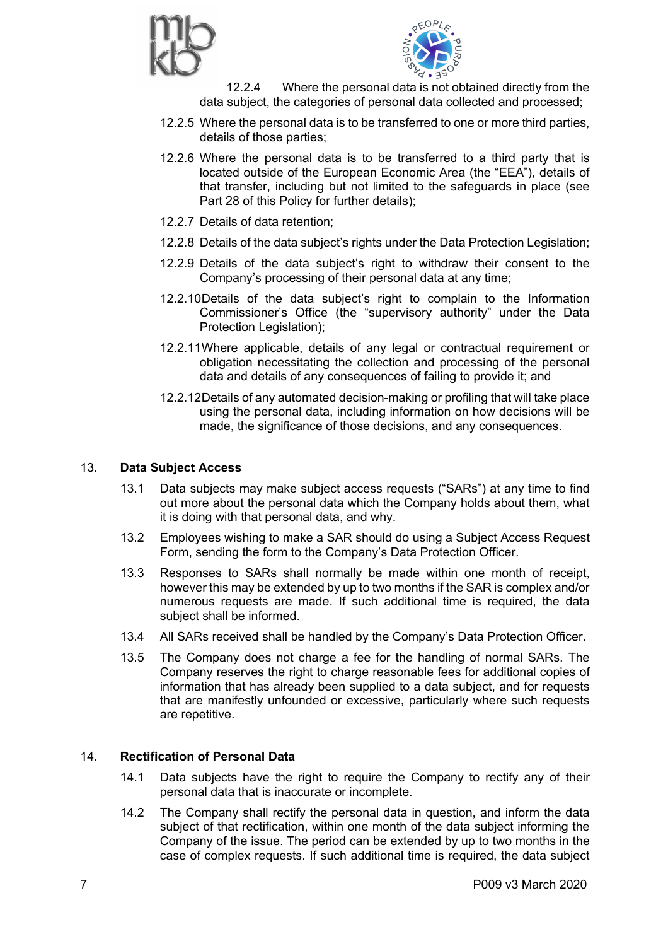



12.2.4 Where the personal data is not obtained directly from the data subject, the categories of personal data collected and processed;

- 12.2.5 Where the personal data is to be transferred to one or more third parties, details of those parties;
- 12.2.6 Where the personal data is to be transferred to a third party that is located outside of the European Economic Area (the "EEA"), details of that transfer, including but not limited to the safeguards in place (see Part 28 of this Policy for further details);
- 12.2.7 Details of data retention;
- 12.2.8 Details of the data subject's rights under the Data Protection Legislation;
- 12.2.9 Details of the data subject's right to withdraw their consent to the Company's processing of their personal data at any time;
- 12.2.10Details of the data subject's right to complain to the Information Commissioner's Office (the "supervisory authority" under the Data Protection Legislation);
- 12.2.11Where applicable, details of any legal or contractual requirement or obligation necessitating the collection and processing of the personal data and details of any consequences of failing to provide it; and
- 12.2.12Details of any automated decision-making or profiling that will take place using the personal data, including information on how decisions will be made, the significance of those decisions, and any consequences.

#### 13. **Data Subject Access**

- 13.1 Data subjects may make subject access requests ("SARs") at any time to find out more about the personal data which the Company holds about them, what it is doing with that personal data, and why.
- 13.2 Employees wishing to make a SAR should do using a Subject Access Request Form, sending the form to the Company's Data Protection Officer.
- 13.3 Responses to SARs shall normally be made within one month of receipt, however this may be extended by up to two months if the SAR is complex and/or numerous requests are made. If such additional time is required, the data subject shall be informed.
- 13.4 All SARs received shall be handled by the Company's Data Protection Officer.
- 13.5 The Company does not charge a fee for the handling of normal SARs. The Company reserves the right to charge reasonable fees for additional copies of information that has already been supplied to a data subject, and for requests that are manifestly unfounded or excessive, particularly where such requests are repetitive.

## 14. **Rectification of Personal Data**

- 14.1 Data subjects have the right to require the Company to rectify any of their personal data that is inaccurate or incomplete.
- 14.2 The Company shall rectify the personal data in question, and inform the data subject of that rectification, within one month of the data subject informing the Company of the issue. The period can be extended by up to two months in the case of complex requests. If such additional time is required, the data subject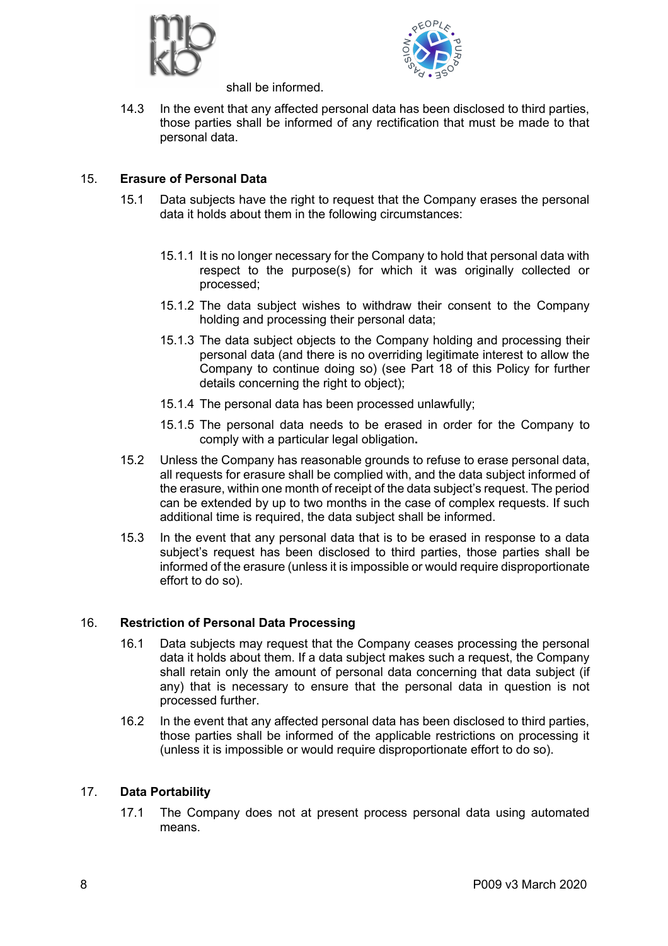



shall be informed.

14.3 In the event that any affected personal data has been disclosed to third parties, those parties shall be informed of any rectification that must be made to that personal data.

## 15. **Erasure of Personal Data**

- 15.1 Data subjects have the right to request that the Company erases the personal data it holds about them in the following circumstances:
	- 15.1.1 It is no longer necessary for the Company to hold that personal data with respect to the purpose(s) for which it was originally collected or processed;
	- 15.1.2 The data subject wishes to withdraw their consent to the Company holding and processing their personal data;
	- 15.1.3 The data subject objects to the Company holding and processing their personal data (and there is no overriding legitimate interest to allow the Company to continue doing so) (see Part 18 of this Policy for further details concerning the right to object);
	- 15.1.4 The personal data has been processed unlawfully;
	- 15.1.5 The personal data needs to be erased in order for the Company to comply with a particular legal obligation**.**
- 15.2 Unless the Company has reasonable grounds to refuse to erase personal data, all requests for erasure shall be complied with, and the data subject informed of the erasure, within one month of receipt of the data subject's request. The period can be extended by up to two months in the case of complex requests. If such additional time is required, the data subject shall be informed.
- 15.3 In the event that any personal data that is to be erased in response to a data subject's request has been disclosed to third parties, those parties shall be informed of the erasure (unless it is impossible or would require disproportionate effort to do so).

## 16. **Restriction of Personal Data Processing**

- 16.1 Data subjects may request that the Company ceases processing the personal data it holds about them. If a data subject makes such a request, the Company shall retain only the amount of personal data concerning that data subject (if any) that is necessary to ensure that the personal data in question is not processed further.
- 16.2 In the event that any affected personal data has been disclosed to third parties, those parties shall be informed of the applicable restrictions on processing it (unless it is impossible or would require disproportionate effort to do so).

## 17. **Data Portability**

17.1 The Company does not at present process personal data using automated means.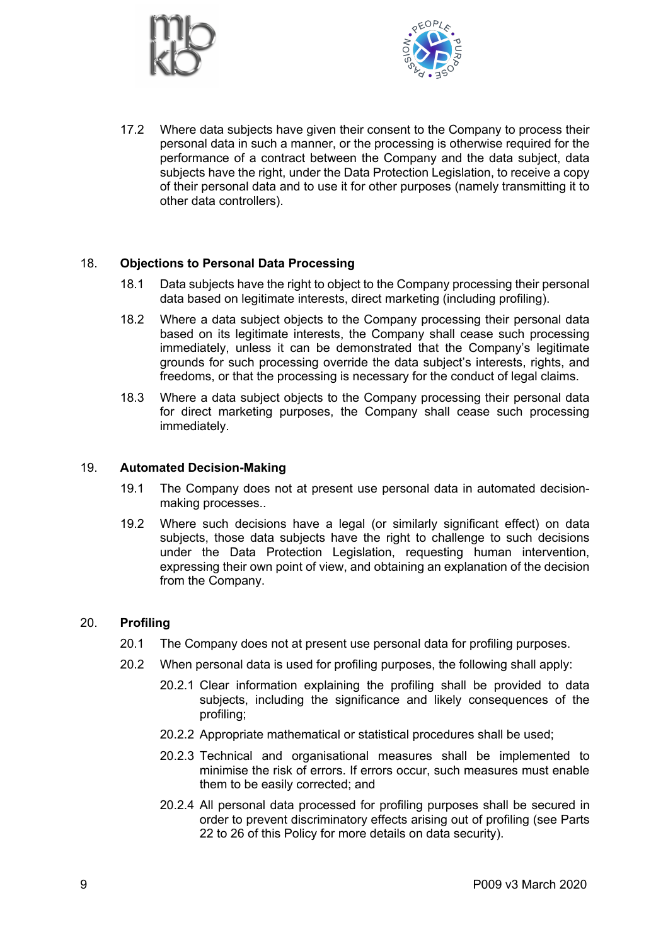



17.2 Where data subjects have given their consent to the Company to process their personal data in such a manner, or the processing is otherwise required for the performance of a contract between the Company and the data subject, data subjects have the right, under the Data Protection Legislation, to receive a copy of their personal data and to use it for other purposes (namely transmitting it to other data controllers).

## 18. **Objections to Personal Data Processing**

- 18.1 Data subjects have the right to object to the Company processing their personal data based on legitimate interests, direct marketing (including profiling).
- 18.2 Where a data subject objects to the Company processing their personal data based on its legitimate interests, the Company shall cease such processing immediately, unless it can be demonstrated that the Company's legitimate grounds for such processing override the data subject's interests, rights, and freedoms, or that the processing is necessary for the conduct of legal claims.
- 18.3 Where a data subject objects to the Company processing their personal data for direct marketing purposes, the Company shall cease such processing immediately.

#### 19. **Automated Decision-Making**

- 19.1 The Company does not at present use personal data in automated decisionmaking processes..
- 19.2 Where such decisions have a legal (or similarly significant effect) on data subjects, those data subjects have the right to challenge to such decisions under the Data Protection Legislation, requesting human intervention, expressing their own point of view, and obtaining an explanation of the decision from the Company.

#### 20. **Profiling**

- 20.1 The Company does not at present use personal data for profiling purposes.
- 20.2 When personal data is used for profiling purposes, the following shall apply:
	- 20.2.1 Clear information explaining the profiling shall be provided to data subjects, including the significance and likely consequences of the profiling;
	- 20.2.2 Appropriate mathematical or statistical procedures shall be used;
	- 20.2.3 Technical and organisational measures shall be implemented to minimise the risk of errors. If errors occur, such measures must enable them to be easily corrected; and
	- 20.2.4 All personal data processed for profiling purposes shall be secured in order to prevent discriminatory effects arising out of profiling (see Parts 22 to 26 of this Policy for more details on data security).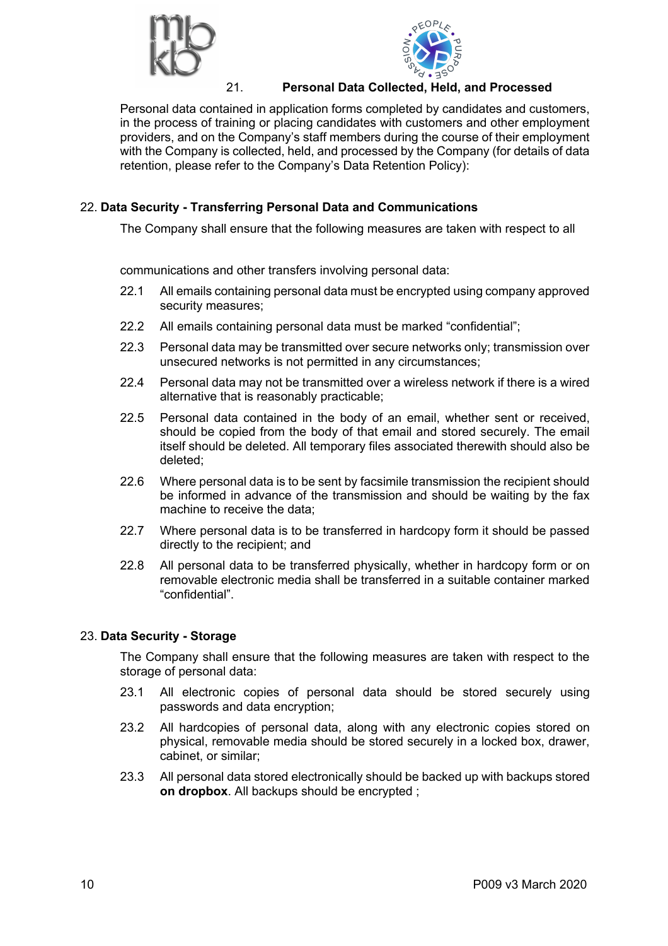



## 21. **Personal Data Collected, Held, and Processed**

Personal data contained in application forms completed by candidates and customers, in the process of training or placing candidates with customers and other employment providers, and on the Company's staff members during the course of their employment with the Company is collected, held, and processed by the Company (for details of data retention, please refer to the Company's Data Retention Policy):

# 22. **Data Security - Transferring Personal Data and Communications**

The Company shall ensure that the following measures are taken with respect to all

communications and other transfers involving personal data:

- 22.1 All emails containing personal data must be encrypted using company approved security measures;
- 22.2 All emails containing personal data must be marked "confidential";
- 22.3 Personal data may be transmitted over secure networks only; transmission over unsecured networks is not permitted in any circumstances;
- 22.4 Personal data may not be transmitted over a wireless network if there is a wired alternative that is reasonably practicable;
- 22.5 Personal data contained in the body of an email, whether sent or received, should be copied from the body of that email and stored securely. The email itself should be deleted. All temporary files associated therewith should also be deleted;
- 22.6 Where personal data is to be sent by facsimile transmission the recipient should be informed in advance of the transmission and should be waiting by the fax machine to receive the data;
- 22.7 Where personal data is to be transferred in hardcopy form it should be passed directly to the recipient; and
- 22.8 All personal data to be transferred physically, whether in hardcopy form or on removable electronic media shall be transferred in a suitable container marked "confidential".

## 23. **Data Security - Storage**

The Company shall ensure that the following measures are taken with respect to the storage of personal data:

- 23.1 All electronic copies of personal data should be stored securely using passwords and data encryption;
- 23.2 All hardcopies of personal data, along with any electronic copies stored on physical, removable media should be stored securely in a locked box, drawer, cabinet, or similar;
- 23.3 All personal data stored electronically should be backed up with backups stored **on dropbox**. All backups should be encrypted ;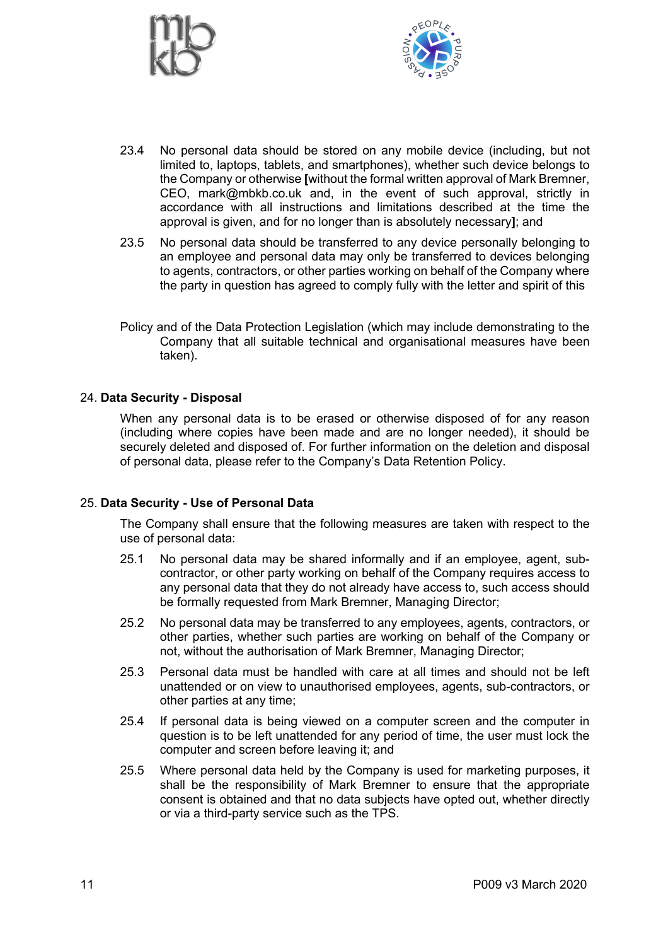



- 23.4 No personal data should be stored on any mobile device (including, but not limited to, laptops, tablets, and smartphones), whether such device belongs to the Company or otherwise **[**without the formal written approval of Mark Bremner, CEO, mark@mbkb.co.uk and, in the event of such approval, strictly in accordance with all instructions and limitations described at the time the approval is given, and for no longer than is absolutely necessary**]**; and
- 23.5 No personal data should be transferred to any device personally belonging to an employee and personal data may only be transferred to devices belonging to agents, contractors, or other parties working on behalf of the Company where the party in question has agreed to comply fully with the letter and spirit of this
- Policy and of the Data Protection Legislation (which may include demonstrating to the Company that all suitable technical and organisational measures have been taken).

#### 24. **Data Security - Disposal**

When any personal data is to be erased or otherwise disposed of for any reason (including where copies have been made and are no longer needed), it should be securely deleted and disposed of. For further information on the deletion and disposal of personal data, please refer to the Company's Data Retention Policy.

#### 25. **Data Security - Use of Personal Data**

The Company shall ensure that the following measures are taken with respect to the use of personal data:

- 25.1 No personal data may be shared informally and if an employee, agent, subcontractor, or other party working on behalf of the Company requires access to any personal data that they do not already have access to, such access should be formally requested from Mark Bremner, Managing Director;
- 25.2 No personal data may be transferred to any employees, agents, contractors, or other parties, whether such parties are working on behalf of the Company or not, without the authorisation of Mark Bremner, Managing Director;
- 25.3 Personal data must be handled with care at all times and should not be left unattended or on view to unauthorised employees, agents, sub-contractors, or other parties at any time;
- 25.4 If personal data is being viewed on a computer screen and the computer in question is to be left unattended for any period of time, the user must lock the computer and screen before leaving it; and
- 25.5 Where personal data held by the Company is used for marketing purposes, it shall be the responsibility of Mark Bremner to ensure that the appropriate consent is obtained and that no data subjects have opted out, whether directly or via a third-party service such as the TPS.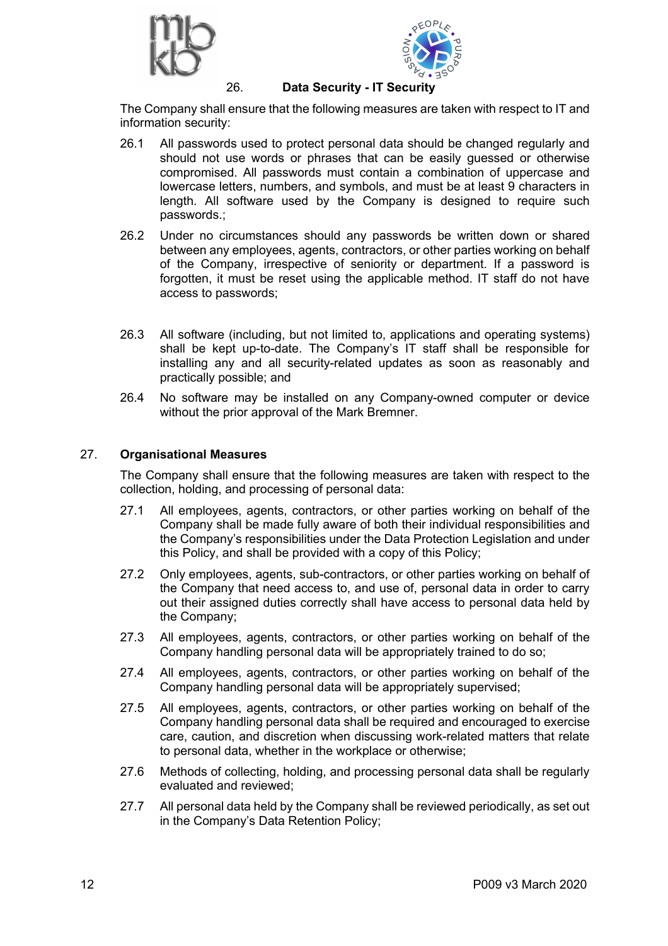



#### 26. **Data Security - IT Security**

The Company shall ensure that the following measures are taken with respect to IT and information security:

- 26.1 All passwords used to protect personal data should be changed regularly and should not use words or phrases that can be easily guessed or otherwise compromised. All passwords must contain a combination of uppercase and lowercase letters, numbers, and symbols, and must be at least 9 characters in length. All software used by the Company is designed to require such passwords.;
- 26.2 Under no circumstances should any passwords be written down or shared between any employees, agents, contractors, or other parties working on behalf of the Company, irrespective of seniority or department. If a password is forgotten, it must be reset using the applicable method. IT staff do not have access to passwords;
- 26.3 All software (including, but not limited to, applications and operating systems) shall be kept up-to-date. The Company's IT staff shall be responsible for installing any and all security-related updates as soon as reasonably and practically possible; and
- 26.4 No software may be installed on any Company-owned computer or device without the prior approval of the Mark Bremner.

#### 27. **Organisational Measures**

The Company shall ensure that the following measures are taken with respect to the collection, holding, and processing of personal data:

- 27.1 All employees, agents, contractors, or other parties working on behalf of the Company shall be made fully aware of both their individual responsibilities and the Company's responsibilities under the Data Protection Legislation and under this Policy, and shall be provided with a copy of this Policy;
- 27.2 Only employees, agents, sub-contractors, or other parties working on behalf of the Company that need access to, and use of, personal data in order to carry out their assigned duties correctly shall have access to personal data held by the Company;
- 27.3 All employees, agents, contractors, or other parties working on behalf of the Company handling personal data will be appropriately trained to do so;
- 27.4 All employees, agents, contractors, or other parties working on behalf of the Company handling personal data will be appropriately supervised;
- 27.5 All employees, agents, contractors, or other parties working on behalf of the Company handling personal data shall be required and encouraged to exercise care, caution, and discretion when discussing work-related matters that relate to personal data, whether in the workplace or otherwise;
- 27.6 Methods of collecting, holding, and processing personal data shall be regularly evaluated and reviewed;
- 27.7 All personal data held by the Company shall be reviewed periodically, as set out in the Company's Data Retention Policy;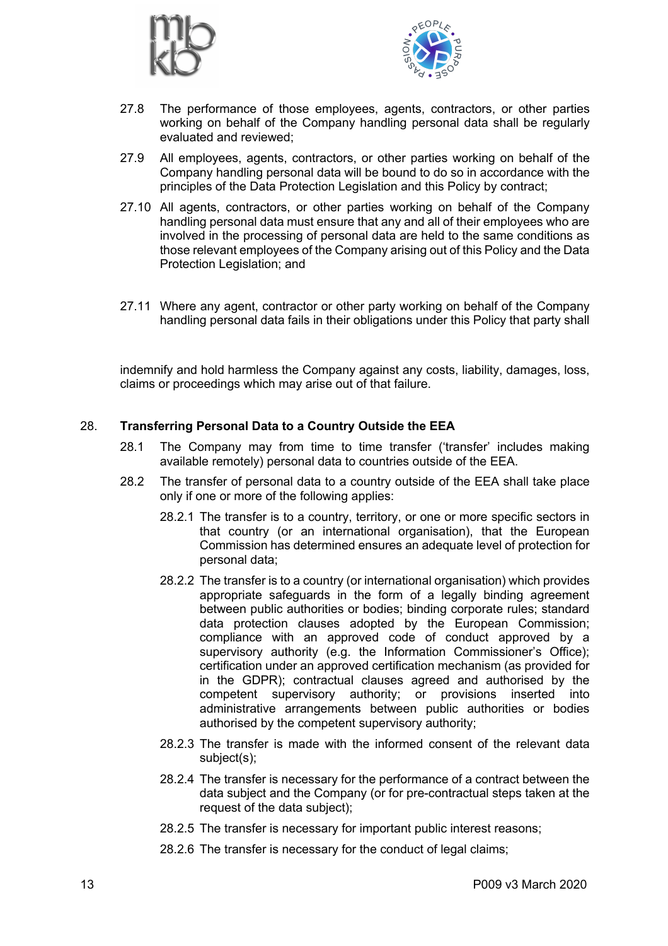



- 27.8 The performance of those employees, agents, contractors, or other parties working on behalf of the Company handling personal data shall be regularly evaluated and reviewed;
- 27.9 All employees, agents, contractors, or other parties working on behalf of the Company handling personal data will be bound to do so in accordance with the principles of the Data Protection Legislation and this Policy by contract;
- 27.10 All agents, contractors, or other parties working on behalf of the Company handling personal data must ensure that any and all of their employees who are involved in the processing of personal data are held to the same conditions as those relevant employees of the Company arising out of this Policy and the Data Protection Legislation; and
- 27.11 Where any agent, contractor or other party working on behalf of the Company handling personal data fails in their obligations under this Policy that party shall

indemnify and hold harmless the Company against any costs, liability, damages, loss, claims or proceedings which may arise out of that failure.

## 28. **Transferring Personal Data to a Country Outside the EEA**

- 28.1 The Company may from time to time transfer ('transfer' includes making available remotely) personal data to countries outside of the EEA.
- 28.2 The transfer of personal data to a country outside of the EEA shall take place only if one or more of the following applies:
	- 28.2.1 The transfer is to a country, territory, or one or more specific sectors in that country (or an international organisation), that the European Commission has determined ensures an adequate level of protection for personal data;
	- 28.2.2 The transfer is to a country (or international organisation) which provides appropriate safeguards in the form of a legally binding agreement between public authorities or bodies; binding corporate rules; standard data protection clauses adopted by the European Commission; compliance with an approved code of conduct approved by a supervisory authority (e.g. the Information Commissioner's Office); certification under an approved certification mechanism (as provided for in the GDPR); contractual clauses agreed and authorised by the competent supervisory authority; or provisions inserted into administrative arrangements between public authorities or bodies authorised by the competent supervisory authority;
	- 28.2.3 The transfer is made with the informed consent of the relevant data subject(s);
	- 28.2.4 The transfer is necessary for the performance of a contract between the data subject and the Company (or for pre-contractual steps taken at the request of the data subject);
	- 28.2.5 The transfer is necessary for important public interest reasons;
	- 28.2.6 The transfer is necessary for the conduct of legal claims;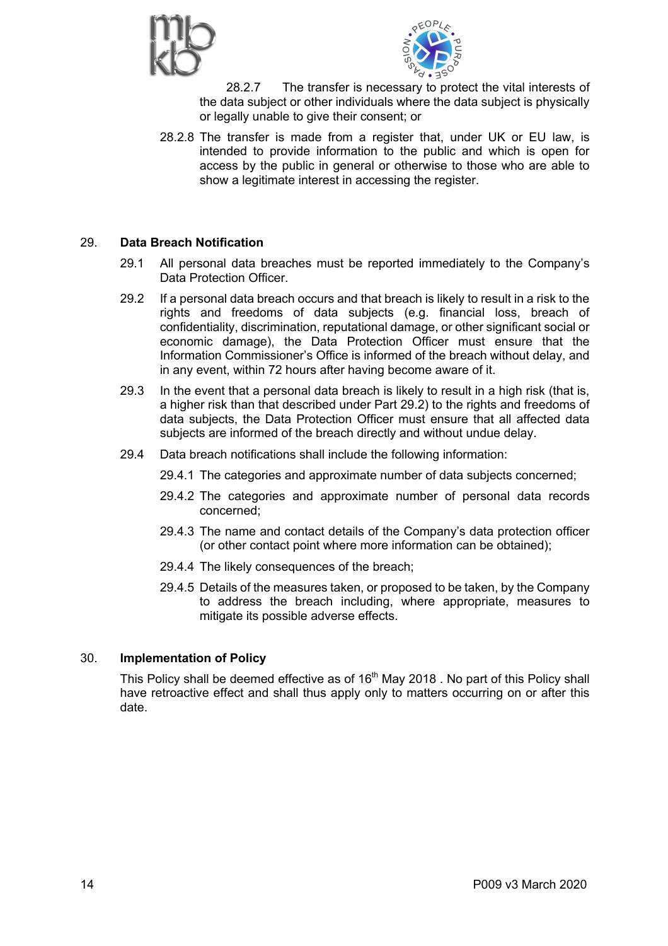



28.2.7 The transfer is necessary to protect the vital interests of the data subject or other individuals where the data subject is physically or legally unable to give their consent; or

28.2.8 The transfer is made from a register that, under UK or EU law, is intended to provide information to the public and which is open for access by the public in general or otherwise to those who are able to show a legitimate interest in accessing the register.

## 29. **Data Breach Notification**

- 29.1 All personal data breaches must be reported immediately to the Company's Data Protection Officer.
- 29.2 If a personal data breach occurs and that breach is likely to result in a risk to the rights and freedoms of data subjects (e.g. financial loss, breach of confidentiality, discrimination, reputational damage, or other significant social or economic damage), the Data Protection Officer must ensure that the Information Commissioner's Office is informed of the breach without delay, and in any event, within 72 hours after having become aware of it.
- 29.3 In the event that a personal data breach is likely to result in a high risk (that is, a higher risk than that described under Part 29.2) to the rights and freedoms of data subjects, the Data Protection Officer must ensure that all affected data subjects are informed of the breach directly and without undue delay.
- 29.4 Data breach notifications shall include the following information:
	- 29.4.1 The categories and approximate number of data subjects concerned;
	- 29.4.2 The categories and approximate number of personal data records concerned;
	- 29.4.3 The name and contact details of the Company's data protection officer (or other contact point where more information can be obtained);
	- 29.4.4 The likely consequences of the breach;
	- 29.4.5 Details of the measures taken, or proposed to be taken, by the Company to address the breach including, where appropriate, measures to mitigate its possible adverse effects.

## 30. **Implementation of Policy**

This Policy shall be deemed effective as of 16<sup>th</sup> May 2018. No part of this Policy shall have retroactive effect and shall thus apply only to matters occurring on or after this date.